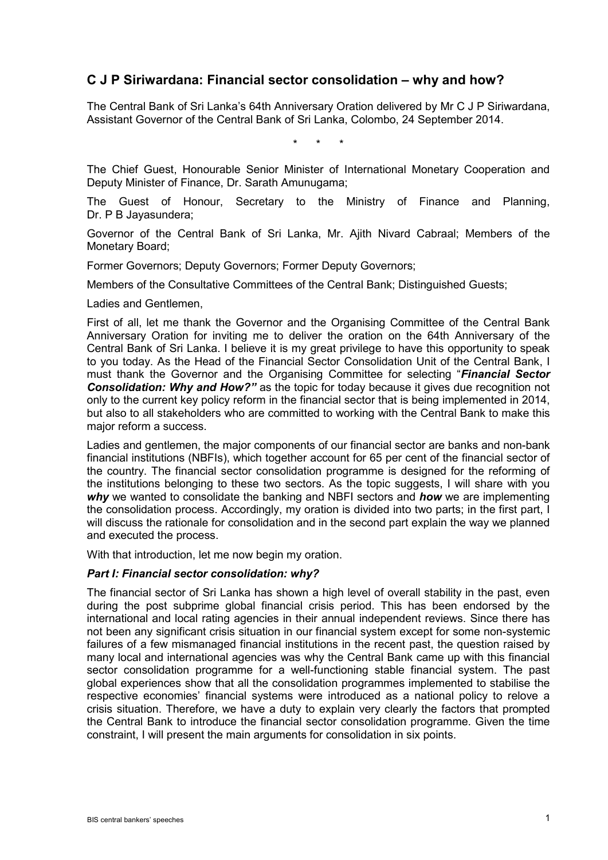# **C J P Siriwardana: Financial sector consolidation – why and how?**

The Central Bank of Sri Lanka's 64th Anniversary Oration delivered by Mr C J P Siriwardana, Assistant Governor of the Central Bank of Sri Lanka, Colombo, 24 September 2014.

\* \* \*

The Chief Guest, Honourable Senior Minister of International Monetary Cooperation and Deputy Minister of Finance, Dr. Sarath Amunugama;

The Guest of Honour, Secretary to the Ministry of Finance and Planning, Dr. P B Jayasundera;

Governor of the Central Bank of Sri Lanka, Mr. Ajith Nivard Cabraal; Members of the Monetary Board;

Former Governors; Deputy Governors; Former Deputy Governors;

Members of the Consultative Committees of the Central Bank; Distinguished Guests;

Ladies and Gentlemen,

First of all, let me thank the Governor and the Organising Committee of the Central Bank Anniversary Oration for inviting me to deliver the oration on the 64th Anniversary of the Central Bank of Sri Lanka. I believe it is my great privilege to have this opportunity to speak to you today. As the Head of the Financial Sector Consolidation Unit of the Central Bank, I must thank the Governor and the Organising Committee for selecting "*Financial Sector Consolidation: Why and How?"* as the topic for today because it gives due recognition not only to the current key policy reform in the financial sector that is being implemented in 2014, but also to all stakeholders who are committed to working with the Central Bank to make this major reform a success.

Ladies and gentlemen, the major components of our financial sector are banks and non-bank financial institutions (NBFIs), which together account for 65 per cent of the financial sector of the country. The financial sector consolidation programme is designed for the reforming of the institutions belonging to these two sectors. As the topic suggests, I will share with you *why* we wanted to consolidate the banking and NBFI sectors and *how* we are implementing the consolidation process. Accordingly, my oration is divided into two parts; in the first part, I will discuss the rationale for consolidation and in the second part explain the way we planned and executed the process.

With that introduction, let me now begin my oration.

#### *Part I: Financial sector consolidation: why?*

The financial sector of Sri Lanka has shown a high level of overall stability in the past, even during the post subprime global financial crisis period. This has been endorsed by the international and local rating agencies in their annual independent reviews. Since there has not been any significant crisis situation in our financial system except for some non-systemic failures of a few mismanaged financial institutions in the recent past, the question raised by many local and international agencies was why the Central Bank came up with this financial sector consolidation programme for a well-functioning stable financial system. The past global experiences show that all the consolidation programmes implemented to stabilise the respective economies' financial systems were introduced as a national policy to relove a crisis situation. Therefore, we have a duty to explain very clearly the factors that prompted the Central Bank to introduce the financial sector consolidation programme. Given the time constraint, I will present the main arguments for consolidation in six points.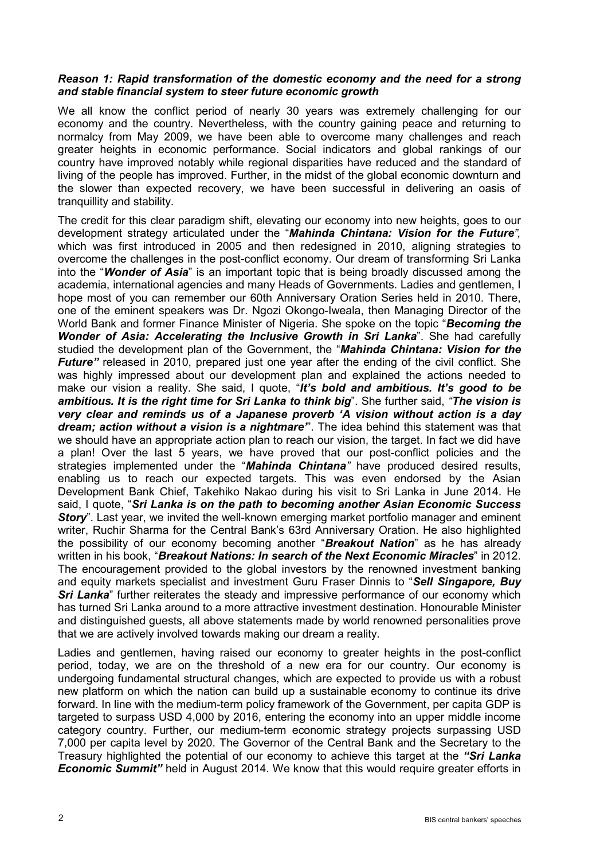# *Reason 1: Rapid transformation of the domestic economy and the need for a strong and stable financial system to steer future economic growth*

We all know the conflict period of nearly 30 years was extremely challenging for our economy and the country. Nevertheless, with the country gaining peace and returning to normalcy from May 2009, we have been able to overcome many challenges and reach greater heights in economic performance. Social indicators and global rankings of our country have improved notably while regional disparities have reduced and the standard of living of the people has improved. Further, in the midst of the global economic downturn and the slower than expected recovery, we have been successful in delivering an oasis of tranquillity and stability.

The credit for this clear paradigm shift, elevating our economy into new heights, goes to our development strategy articulated under the "*Mahinda Chintana: Vision for the Future",* which was first introduced in 2005 and then redesigned in 2010, aligning strategies to overcome the challenges in the post-conflict economy. Our dream of transforming Sri Lanka into the "*Wonder of Asia*" is an important topic that is being broadly discussed among the academia, international agencies and many Heads of Governments. Ladies and gentlemen, I hope most of you can remember our 60th Anniversary Oration Series held in 2010. There, one of the eminent speakers was Dr. Ngozi Okongo-Iweala, then Managing Director of the World Bank and former Finance Minister of Nigeria. She spoke on the topic "*Becoming the Wonder of Asia: Accelerating the Inclusive Growth in Sri Lanka*". She had carefully studied the development plan of the Government, the "*Mahinda Chintana: Vision for the Future*" released in 2010, prepared just one year after the ending of the civil conflict. She was highly impressed about our development plan and explained the actions needed to make our vision a reality. She said, I quote, "*It's bold and ambitious. It's good to be ambitious. It is the right time for Sri Lanka to think big*". She further said, *"The vision is very clear and reminds us of a Japanese proverb 'A vision without action is a day dream; action without a vision is a nightmare'*". The idea behind this statement was that we should have an appropriate action plan to reach our vision, the target. In fact we did have a plan! Over the last 5 years, we have proved that our post-conflict policies and the strategies implemented under the "*Mahinda Chintana"* have produced desired results, enabling us to reach our expected targets. This was even endorsed by the Asian Development Bank Chief, Takehiko Nakao during his visit to Sri Lanka in June 2014. He said, I quote, "*Sri Lanka is on the path to becoming another Asian Economic Success*  **Story**". Last year, we invited the well-known emerging market portfolio manager and eminent writer, Ruchir Sharma for the Central Bank's 63rd Anniversary Oration. He also highlighted the possibility of our economy becoming another "*Breakout Nation*" as he has already written in his book, "*Breakout Nations: In search of the Next Economic Miracles*" in 2012. The encouragement provided to the global investors by the renowned investment banking and equity markets specialist and investment Guru Fraser Dinnis to "*Sell Singapore, Buy*  **Sri Lanka**" further reiterates the steady and impressive performance of our economy which has turned Sri Lanka around to a more attractive investment destination. Honourable Minister and distinguished guests, all above statements made by world renowned personalities prove that we are actively involved towards making our dream a reality.

Ladies and gentlemen, having raised our economy to greater heights in the post-conflict period, today, we are on the threshold of a new era for our country. Our economy is undergoing fundamental structural changes, which are expected to provide us with a robust new platform on which the nation can build up a sustainable economy to continue its drive forward. In line with the medium-term policy framework of the Government, per capita GDP is targeted to surpass USD 4,000 by 2016, entering the economy into an upper middle income category country. Further, our medium-term economic strategy projects surpassing USD 7,000 per capita level by 2020. The Governor of the Central Bank and the Secretary to the Treasury highlighted the potential of our economy to achieve this target at the *"Sri Lanka Economic Summit* held in August 2014. We know that this would require greater efforts in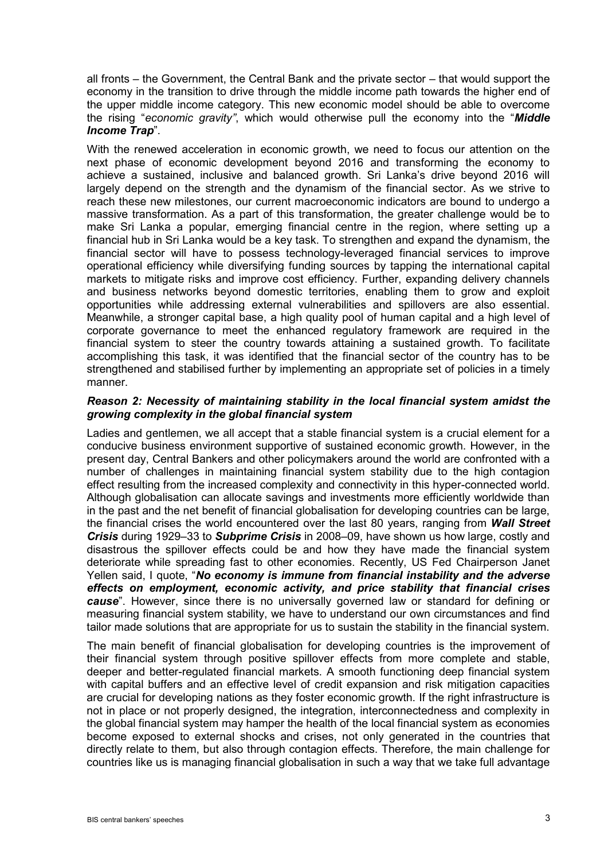all fronts – the Government, the Central Bank and the private sector – that would support the economy in the transition to drive through the middle income path towards the higher end of the upper middle income category. This new economic model should be able to overcome the rising "*economic gravity"*, which would otherwise pull the economy into the "*Middle Income Trap*".

With the renewed acceleration in economic growth, we need to focus our attention on the next phase of economic development beyond 2016 and transforming the economy to achieve a sustained, inclusive and balanced growth. Sri Lanka's drive beyond 2016 will largely depend on the strength and the dynamism of the financial sector. As we strive to reach these new milestones, our current macroeconomic indicators are bound to undergo a massive transformation. As a part of this transformation, the greater challenge would be to make Sri Lanka a popular, emerging financial centre in the region, where setting up a financial hub in Sri Lanka would be a key task. To strengthen and expand the dynamism, the financial sector will have to possess technology-leveraged financial services to improve operational efficiency while diversifying funding sources by tapping the international capital markets to mitigate risks and improve cost efficiency. Further, expanding delivery channels and business networks beyond domestic territories, enabling them to grow and exploit opportunities while addressing external vulnerabilities and spillovers are also essential. Meanwhile, a stronger capital base, a high quality pool of human capital and a high level of corporate governance to meet the enhanced regulatory framework are required in the financial system to steer the country towards attaining a sustained growth. To facilitate accomplishing this task, it was identified that the financial sector of the country has to be strengthened and stabilised further by implementing an appropriate set of policies in a timely manner.

# *Reason 2: Necessity of maintaining stability in the local financial system amidst the growing complexity in the global financial system*

Ladies and gentlemen, we all accept that a stable financial system is a crucial element for a conducive business environment supportive of sustained economic growth. However, in the present day, Central Bankers and other policymakers around the world are confronted with a number of challenges in maintaining financial system stability due to the high contagion effect resulting from the increased complexity and connectivity in this hyper-connected world. Although globalisation can allocate savings and investments more efficiently worldwide than in the past and the net benefit of financial globalisation for developing countries can be large, the financial crises the world encountered over the last 80 years, ranging from *Wall Street Crisis* during 1929–33 to *Subprime Crisis* in 2008–09, have shown us how large, costly and disastrous the spillover effects could be and how they have made the financial system deteriorate while spreading fast to other economies. Recently, US Fed Chairperson Janet Yellen said, I quote, "*No economy is immune from financial instability and the adverse effects on employment, economic activity, and price stability that financial crises cause*". However, since there is no universally governed law or standard for defining or measuring financial system stability, we have to understand our own circumstances and find tailor made solutions that are appropriate for us to sustain the stability in the financial system.

The main benefit of financial globalisation for developing countries is the improvement of their financial system through positive spillover effects from more complete and stable, deeper and better-regulated financial markets. A smooth functioning deep financial system with capital buffers and an effective level of credit expansion and risk mitigation capacities are crucial for developing nations as they foster economic growth. If the right infrastructure is not in place or not properly designed, the integration, interconnectedness and complexity in the global financial system may hamper the health of the local financial system as economies become exposed to external shocks and crises, not only generated in the countries that directly relate to them, but also through contagion effects. Therefore, the main challenge for countries like us is managing financial globalisation in such a way that we take full advantage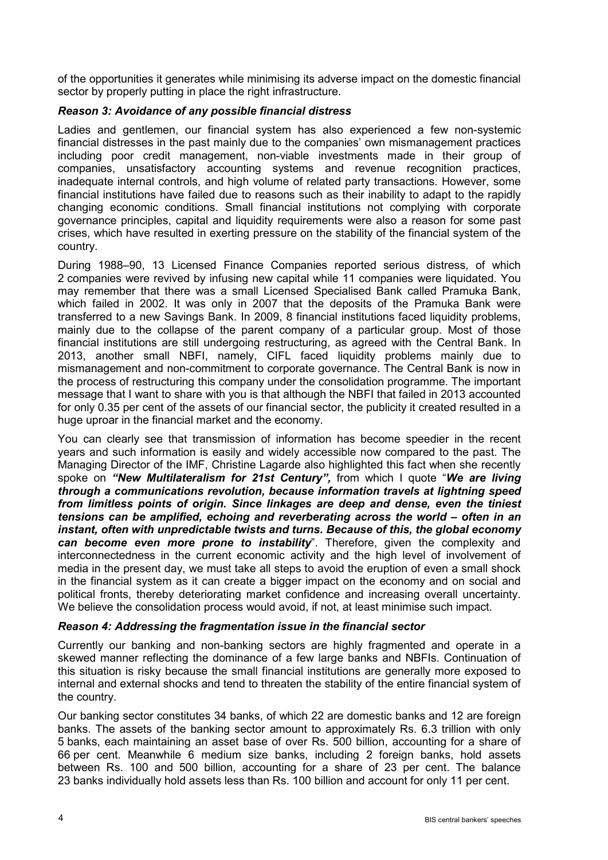of the opportunities it generates while minimising its adverse impact on the domestic financial sector by properly putting in place the right infrastructure.

# *Reason 3: Avoidance of any possible financial distress*

Ladies and gentlemen, our financial system has also experienced a few non-systemic financial distresses in the past mainly due to the companies' own mismanagement practices including poor credit management, non-viable investments made in their group of companies, unsatisfactory accounting systems and revenue recognition practices, inadequate internal controls, and high volume of related party transactions. However, some financial institutions have failed due to reasons such as their inability to adapt to the rapidly changing economic conditions. Small financial institutions not complying with corporate governance principles, capital and liquidity requirements were also a reason for some past crises, which have resulted in exerting pressure on the stability of the financial system of the country.

During 1988–90, 13 Licensed Finance Companies reported serious distress, of which 2 companies were revived by infusing new capital while 11 companies were liquidated. You may remember that there was a small Licensed Specialised Bank called Pramuka Bank, which failed in 2002. It was only in 2007 that the deposits of the Pramuka Bank were transferred to a new Savings Bank. In 2009, 8 financial institutions faced liquidity problems, mainly due to the collapse of the parent company of a particular group. Most of those financial institutions are still undergoing restructuring, as agreed with the Central Bank. In 2013, another small NBFI, namely, CIFL faced liquidity problems mainly due to mismanagement and non-commitment to corporate governance. The Central Bank is now in the process of restructuring this company under the consolidation programme. The important message that I want to share with you is that although the NBFI that failed in 2013 accounted for only 0.35 per cent of the assets of our financial sector, the publicity it created resulted in a huge uproar in the financial market and the economy.

You can clearly see that transmission of information has become speedier in the recent years and such information is easily and widely accessible now compared to the past. The Managing Director of the IMF, Christine Lagarde also highlighted this fact when she recently spoke on *"New Multilateralism for 21st Century",* from which I quote "*We are living through a communications revolution, because information travels at lightning speed from limitless points of origin. Since linkages are deep and dense, even the tiniest tensions can be amplified, echoing and reverberating across the world – often in an instant, often with unpredictable twists and turns. Because of this, the global economy can become even more prone to instability*". Therefore, given the complexity and interconnectedness in the current economic activity and the high level of involvement of media in the present day, we must take all steps to avoid the eruption of even a small shock in the financial system as it can create a bigger impact on the economy and on social and political fronts, thereby deteriorating market confidence and increasing overall uncertainty. We believe the consolidation process would avoid, if not, at least minimise such impact.

# *Reason 4: Addressing the fragmentation issue in the financial sector*

Currently our banking and non-banking sectors are highly fragmented and operate in a skewed manner reflecting the dominance of a few large banks and NBFIs. Continuation of this situation is risky because the small financial institutions are generally more exposed to internal and external shocks and tend to threaten the stability of the entire financial system of the country.

Our banking sector constitutes 34 banks, of which 22 are domestic banks and 12 are foreign banks. The assets of the banking sector amount to approximately Rs. 6.3 trillion with only 5 banks, each maintaining an asset base of over Rs. 500 billion, accounting for a share of 66 per cent. Meanwhile 6 medium size banks, including 2 foreign banks, hold assets between Rs. 100 and 500 billion, accounting for a share of 23 per cent. The balance 23 banks individually hold assets less than Rs. 100 billion and account for only 11 per cent.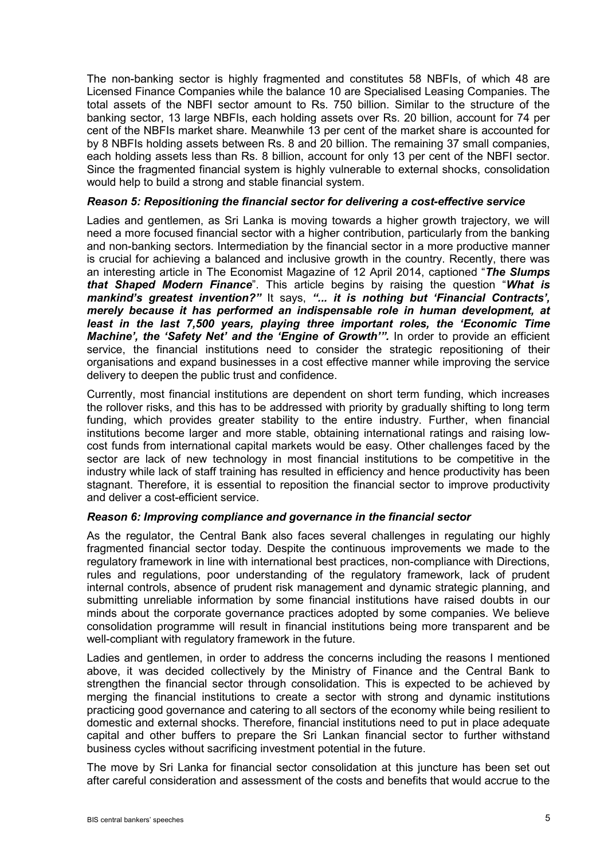The non-banking sector is highly fragmented and constitutes 58 NBFIs, of which 48 are Licensed Finance Companies while the balance 10 are Specialised Leasing Companies. The total assets of the NBFI sector amount to Rs. 750 billion. Similar to the structure of the banking sector, 13 large NBFIs, each holding assets over Rs. 20 billion, account for 74 per cent of the NBFIs market share. Meanwhile 13 per cent of the market share is accounted for by 8 NBFIs holding assets between Rs. 8 and 20 billion. The remaining 37 small companies, each holding assets less than Rs. 8 billion, account for only 13 per cent of the NBFI sector. Since the fragmented financial system is highly vulnerable to external shocks, consolidation would help to build a strong and stable financial system.

#### *Reason 5: Repositioning the financial sector for delivering a cost-effective service*

Ladies and gentlemen, as Sri Lanka is moving towards a higher growth trajectory, we will need a more focused financial sector with a higher contribution, particularly from the banking and non-banking sectors. Intermediation by the financial sector in a more productive manner is crucial for achieving a balanced and inclusive growth in the country. Recently, there was an interesting article in The Economist Magazine of 12 April 2014, captioned "*The Slumps that Shaped Modern Finance*". This article begins by raising the question "*What is mankind's greatest invention?"* It says, *"... it is nothing but 'Financial Contracts', merely because it has performed an indispensable role in human development, at least in the last 7,500 years, playing three important roles, the 'Economic Time Machine', the 'Safety Net' and the 'Engine of Growth'".* In order to provide an efficient service, the financial institutions need to consider the strategic repositioning of their organisations and expand businesses in a cost effective manner while improving the service delivery to deepen the public trust and confidence.

Currently, most financial institutions are dependent on short term funding, which increases the rollover risks, and this has to be addressed with priority by gradually shifting to long term funding, which provides greater stability to the entire industry. Further, when financial institutions become larger and more stable, obtaining international ratings and raising lowcost funds from international capital markets would be easy. Other challenges faced by the sector are lack of new technology in most financial institutions to be competitive in the industry while lack of staff training has resulted in efficiency and hence productivity has been stagnant. Therefore, it is essential to reposition the financial sector to improve productivity and deliver a cost-efficient service.

# *Reason 6: Improving compliance and governance in the financial sector*

As the regulator, the Central Bank also faces several challenges in regulating our highly fragmented financial sector today. Despite the continuous improvements we made to the regulatory framework in line with international best practices, non-compliance with Directions, rules and regulations, poor understanding of the regulatory framework, lack of prudent internal controls, absence of prudent risk management and dynamic strategic planning, and submitting unreliable information by some financial institutions have raised doubts in our minds about the corporate governance practices adopted by some companies. We believe consolidation programme will result in financial institutions being more transparent and be well-compliant with regulatory framework in the future.

Ladies and gentlemen, in order to address the concerns including the reasons I mentioned above, it was decided collectively by the Ministry of Finance and the Central Bank to strengthen the financial sector through consolidation. This is expected to be achieved by merging the financial institutions to create a sector with strong and dynamic institutions practicing good governance and catering to all sectors of the economy while being resilient to domestic and external shocks. Therefore, financial institutions need to put in place adequate capital and other buffers to prepare the Sri Lankan financial sector to further withstand business cycles without sacrificing investment potential in the future.

The move by Sri Lanka for financial sector consolidation at this juncture has been set out after careful consideration and assessment of the costs and benefits that would accrue to the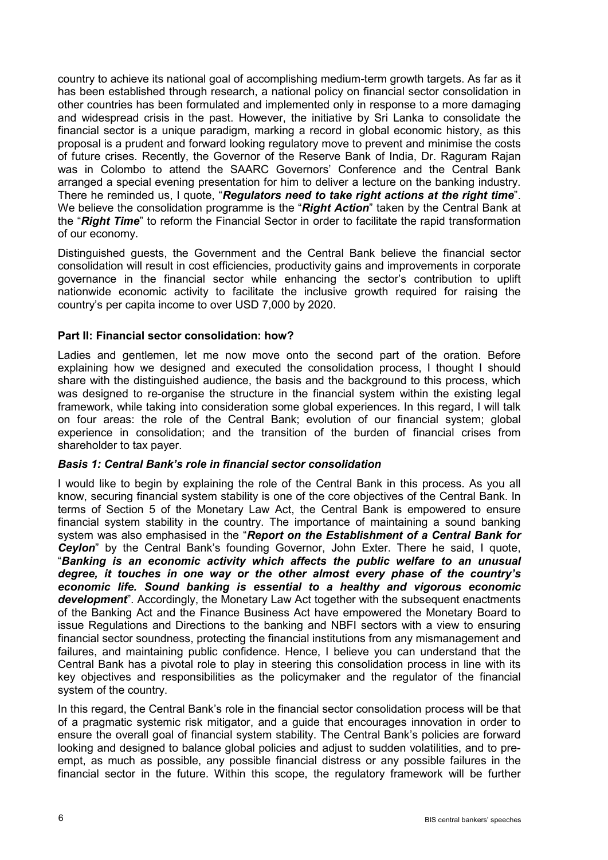country to achieve its national goal of accomplishing medium-term growth targets. As far as it has been established through research, a national policy on financial sector consolidation in other countries has been formulated and implemented only in response to a more damaging and widespread crisis in the past. However, the initiative by Sri Lanka to consolidate the financial sector is a unique paradigm, marking a record in global economic history, as this proposal is a prudent and forward looking regulatory move to prevent and minimise the costs of future crises. Recently, the Governor of the Reserve Bank of India, Dr. Raguram Rajan was in Colombo to attend the SAARC Governors' Conference and the Central Bank arranged a special evening presentation for him to deliver a lecture on the banking industry. There he reminded us, I quote, "*Regulators need to take right actions at the right time*". We believe the consolidation programme is the "*Right Action*" taken by the Central Bank at the "*Right Time*" to reform the Financial Sector in order to facilitate the rapid transformation of our economy.

Distinguished guests, the Government and the Central Bank believe the financial sector consolidation will result in cost efficiencies, productivity gains and improvements in corporate governance in the financial sector while enhancing the sector's contribution to uplift nationwide economic activity to facilitate the inclusive growth required for raising the country's per capita income to over USD 7,000 by 2020.

# **Part II: Financial sector consolidation: how?**

Ladies and gentlemen, let me now move onto the second part of the oration. Before explaining how we designed and executed the consolidation process, I thought I should share with the distinguished audience, the basis and the background to this process, which was designed to re-organise the structure in the financial system within the existing legal framework, while taking into consideration some global experiences. In this regard, I will talk on four areas: the role of the Central Bank; evolution of our financial system; global experience in consolidation; and the transition of the burden of financial crises from shareholder to tax payer.

#### *Basis 1: Central Bank's role in financial sector consolidation*

I would like to begin by explaining the role of the Central Bank in this process. As you all know, securing financial system stability is one of the core objectives of the Central Bank. In terms of Section 5 of the Monetary Law Act, the Central Bank is empowered to ensure financial system stability in the country. The importance of maintaining a sound banking system was also emphasised in the "*Report on the Establishment of a Central Bank for Ceylon*" by the Central Bank's founding Governor, John Exter. There he said, I quote, "*Banking is an economic activity which affects the public welfare to an unusual degree, it touches in one way or the other almost every phase of the country's economic life. Sound banking is essential to a healthy and vigorous economic development*". Accordingly, the Monetary Law Act together with the subsequent enactments of the Banking Act and the Finance Business Act have empowered the Monetary Board to issue Regulations and Directions to the banking and NBFI sectors with a view to ensuring financial sector soundness, protecting the financial institutions from any mismanagement and failures, and maintaining public confidence. Hence, I believe you can understand that the Central Bank has a pivotal role to play in steering this consolidation process in line with its key objectives and responsibilities as the policymaker and the regulator of the financial system of the country.

In this regard, the Central Bank's role in the financial sector consolidation process will be that of a pragmatic systemic risk mitigator, and a guide that encourages innovation in order to ensure the overall goal of financial system stability. The Central Bank's policies are forward looking and designed to balance global policies and adjust to sudden volatilities, and to preempt, as much as possible, any possible financial distress or any possible failures in the financial sector in the future. Within this scope, the regulatory framework will be further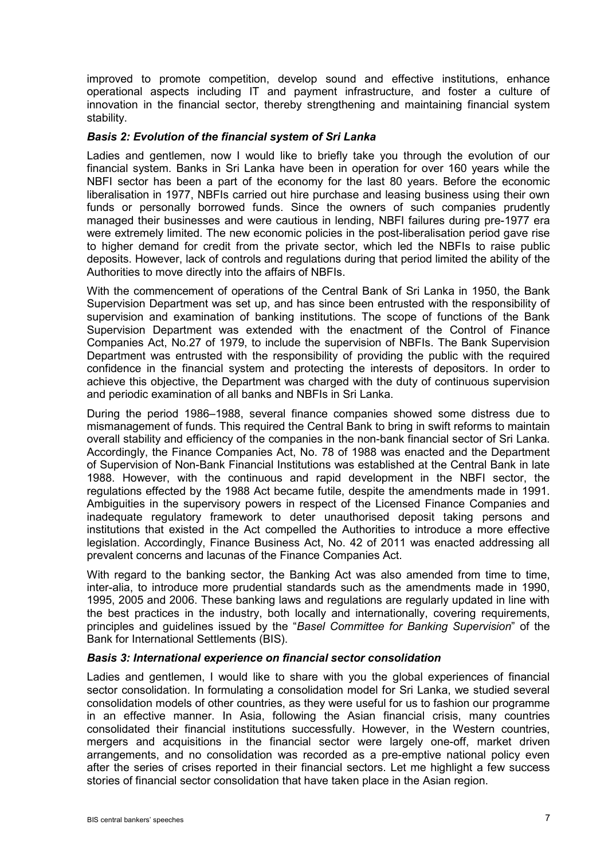improved to promote competition, develop sound and effective institutions, enhance operational aspects including IT and payment infrastructure, and foster a culture of innovation in the financial sector, thereby strengthening and maintaining financial system stability.

## *Basis 2: Evolution of the financial system of Sri Lanka*

Ladies and gentlemen, now I would like to briefly take you through the evolution of our financial system. Banks in Sri Lanka have been in operation for over 160 years while the NBFI sector has been a part of the economy for the last 80 years. Before the economic liberalisation in 1977, NBFIs carried out hire purchase and leasing business using their own funds or personally borrowed funds. Since the owners of such companies prudently managed their businesses and were cautious in lending, NBFI failures during pre-1977 era were extremely limited. The new economic policies in the post-liberalisation period gave rise to higher demand for credit from the private sector, which led the NBFIs to raise public deposits. However, lack of controls and regulations during that period limited the ability of the Authorities to move directly into the affairs of NBFIs.

With the commencement of operations of the Central Bank of Sri Lanka in 1950, the Bank Supervision Department was set up, and has since been entrusted with the responsibility of supervision and examination of banking institutions. The scope of functions of the Bank Supervision Department was extended with the enactment of the Control of Finance Companies Act, No.27 of 1979, to include the supervision of NBFIs. The Bank Supervision Department was entrusted with the responsibility of providing the public with the required confidence in the financial system and protecting the interests of depositors. In order to achieve this objective, the Department was charged with the duty of continuous supervision and periodic examination of all banks and NBFIs in Sri Lanka.

During the period 1986–1988, several finance companies showed some distress due to mismanagement of funds. This required the Central Bank to bring in swift reforms to maintain overall stability and efficiency of the companies in the non-bank financial sector of Sri Lanka. Accordingly, the Finance Companies Act, No. 78 of 1988 was enacted and the Department of Supervision of Non-Bank Financial Institutions was established at the Central Bank in late 1988. However, with the continuous and rapid development in the NBFI sector, the regulations effected by the 1988 Act became futile, despite the amendments made in 1991. Ambiguities in the supervisory powers in respect of the Licensed Finance Companies and inadequate regulatory framework to deter unauthorised deposit taking persons and institutions that existed in the Act compelled the Authorities to introduce a more effective legislation. Accordingly, Finance Business Act, No. 42 of 2011 was enacted addressing all prevalent concerns and lacunas of the Finance Companies Act.

With regard to the banking sector, the Banking Act was also amended from time to time, inter-alia, to introduce more prudential standards such as the amendments made in 1990, 1995, 2005 and 2006. These banking laws and regulations are regularly updated in line with the best practices in the industry, both locally and internationally, covering requirements, principles and guidelines issued by the "*Basel Committee for Banking Supervision*" of the Bank for International Settlements (BIS).

#### *Basis 3: International experience on financial sector consolidation*

Ladies and gentlemen, I would like to share with you the global experiences of financial sector consolidation. In formulating a consolidation model for Sri Lanka, we studied several consolidation models of other countries, as they were useful for us to fashion our programme in an effective manner. In Asia, following the Asian financial crisis, many countries consolidated their financial institutions successfully. However, in the Western countries, mergers and acquisitions in the financial sector were largely one-off, market driven arrangements, and no consolidation was recorded as a pre-emptive national policy even after the series of crises reported in their financial sectors. Let me highlight a few success stories of financial sector consolidation that have taken place in the Asian region.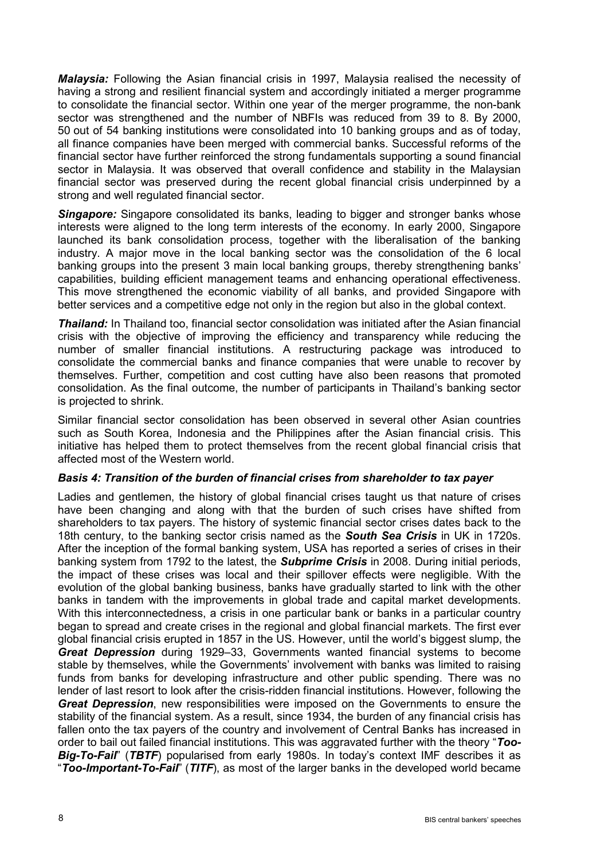*Malaysia:* Following the Asian financial crisis in 1997, Malaysia realised the necessity of having a strong and resilient financial system and accordingly initiated a merger programme to consolidate the financial sector. Within one year of the merger programme, the non-bank sector was strengthened and the number of NBFIs was reduced from 39 to 8. By 2000, 50 out of 54 banking institutions were consolidated into 10 banking groups and as of today, all finance companies have been merged with commercial banks. Successful reforms of the financial sector have further reinforced the strong fundamentals supporting a sound financial sector in Malaysia. It was observed that overall confidence and stability in the Malaysian financial sector was preserved during the recent global financial crisis underpinned by a strong and well regulated financial sector.

**Singapore:** Singapore consolidated its banks, leading to bigger and stronger banks whose interests were aligned to the long term interests of the economy. In early 2000, Singapore launched its bank consolidation process, together with the liberalisation of the banking industry. A major move in the local banking sector was the consolidation of the 6 local banking groups into the present 3 main local banking groups, thereby strengthening banks' capabilities, building efficient management teams and enhancing operational effectiveness. This move strengthened the economic viability of all banks, and provided Singapore with better services and a competitive edge not only in the region but also in the global context.

*Thailand:* In Thailand too, financial sector consolidation was initiated after the Asian financial crisis with the objective of improving the efficiency and transparency while reducing the number of smaller financial institutions. A restructuring package was introduced to consolidate the commercial banks and finance companies that were unable to recover by themselves. Further, competition and cost cutting have also been reasons that promoted consolidation. As the final outcome, the number of participants in Thailand's banking sector is projected to shrink.

Similar financial sector consolidation has been observed in several other Asian countries such as South Korea, Indonesia and the Philippines after the Asian financial crisis. This initiative has helped them to protect themselves from the recent global financial crisis that affected most of the Western world.

#### *Basis 4: Transition of the burden of financial crises from shareholder to tax payer*

Ladies and gentlemen, the history of global financial crises taught us that nature of crises have been changing and along with that the burden of such crises have shifted from shareholders to tax payers. The history of systemic financial sector crises dates back to the 18th century, to the banking sector crisis named as the *South Sea Crisis* in UK in 1720s. After the inception of the formal banking system, USA has reported a series of crises in their banking system from 1792 to the latest, the *Subprime Crisis* in 2008. During initial periods, the impact of these crises was local and their spillover effects were negligible. With the evolution of the global banking business, banks have gradually started to link with the other banks in tandem with the improvements in global trade and capital market developments. With this interconnectedness, a crisis in one particular bank or banks in a particular country began to spread and create crises in the regional and global financial markets. The first ever global financial crisis erupted in 1857 in the US. However, until the world's biggest slump, the *Great Depression* during 1929–33, Governments wanted financial systems to become stable by themselves, while the Governments' involvement with banks was limited to raising funds from banks for developing infrastructure and other public spending. There was no lender of last resort to look after the crisis-ridden financial institutions. However, following the *Great Depression*, new responsibilities were imposed on the Governments to ensure the stability of the financial system. As a result, since 1934, the burden of any financial crisis has fallen onto the tax payers of the country and involvement of Central Banks has increased in order to bail out failed financial institutions. This was aggravated further with the theory "*Too-Big-To-Fail*" (*TBTF*) popularised from early 1980s. In today's context IMF describes it as "*Too-Important-To-Fail*" (*TITF*), as most of the larger banks in the developed world became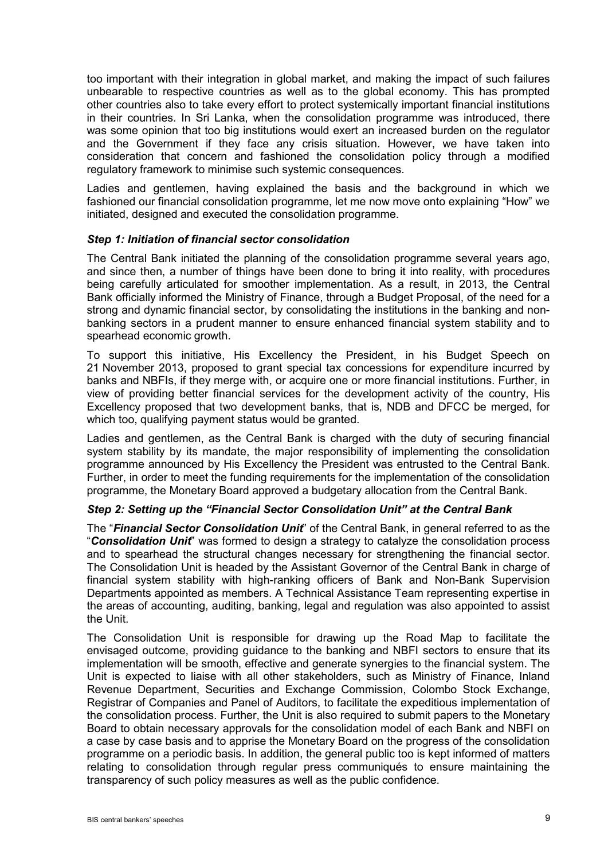too important with their integration in global market, and making the impact of such failures unbearable to respective countries as well as to the global economy. This has prompted other countries also to take every effort to protect systemically important financial institutions in their countries. In Sri Lanka, when the consolidation programme was introduced, there was some opinion that too big institutions would exert an increased burden on the regulator and the Government if they face any crisis situation. However, we have taken into consideration that concern and fashioned the consolidation policy through a modified regulatory framework to minimise such systemic consequences.

Ladies and gentlemen, having explained the basis and the background in which we fashioned our financial consolidation programme, let me now move onto explaining "How" we initiated, designed and executed the consolidation programme.

## *Step 1: Initiation of financial sector consolidation*

The Central Bank initiated the planning of the consolidation programme several years ago, and since then, a number of things have been done to bring it into reality, with procedures being carefully articulated for smoother implementation. As a result, in 2013, the Central Bank officially informed the Ministry of Finance, through a Budget Proposal, of the need for a strong and dynamic financial sector, by consolidating the institutions in the banking and nonbanking sectors in a prudent manner to ensure enhanced financial system stability and to spearhead economic growth.

To support this initiative, His Excellency the President, in his Budget Speech on 21 November 2013, proposed to grant special tax concessions for expenditure incurred by banks and NBFIs, if they merge with, or acquire one or more financial institutions. Further, in view of providing better financial services for the development activity of the country, His Excellency proposed that two development banks, that is, NDB and DFCC be merged, for which too, qualifying payment status would be granted.

Ladies and gentlemen, as the Central Bank is charged with the duty of securing financial system stability by its mandate, the major responsibility of implementing the consolidation programme announced by His Excellency the President was entrusted to the Central Bank. Further, in order to meet the funding requirements for the implementation of the consolidation programme, the Monetary Board approved a budgetary allocation from the Central Bank.

#### *Step 2: Setting up the "Financial Sector Consolidation Unit" at the Central Bank*

The "*Financial Sector Consolidation Unit*" of the Central Bank, in general referred to as the "*Consolidation Unit*" was formed to design a strategy to catalyze the consolidation process and to spearhead the structural changes necessary for strengthening the financial sector. The Consolidation Unit is headed by the Assistant Governor of the Central Bank in charge of financial system stability with high-ranking officers of Bank and Non-Bank Supervision Departments appointed as members. A Technical Assistance Team representing expertise in the areas of accounting, auditing, banking, legal and regulation was also appointed to assist the Unit.

The Consolidation Unit is responsible for drawing up the Road Map to facilitate the envisaged outcome, providing guidance to the banking and NBFI sectors to ensure that its implementation will be smooth, effective and generate synergies to the financial system. The Unit is expected to liaise with all other stakeholders, such as Ministry of Finance, Inland Revenue Department, Securities and Exchange Commission, Colombo Stock Exchange, Registrar of Companies and Panel of Auditors, to facilitate the expeditious implementation of the consolidation process. Further, the Unit is also required to submit papers to the Monetary Board to obtain necessary approvals for the consolidation model of each Bank and NBFI on a case by case basis and to apprise the Monetary Board on the progress of the consolidation programme on a periodic basis. In addition, the general public too is kept informed of matters relating to consolidation through regular press communiqués to ensure maintaining the transparency of such policy measures as well as the public confidence.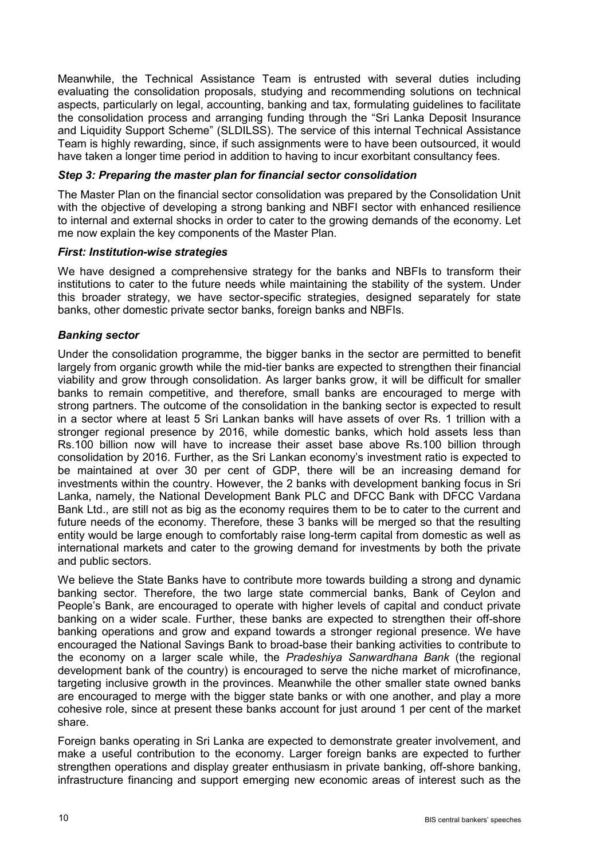Meanwhile, the Technical Assistance Team is entrusted with several duties including evaluating the consolidation proposals, studying and recommending solutions on technical aspects, particularly on legal, accounting, banking and tax, formulating guidelines to facilitate the consolidation process and arranging funding through the "Sri Lanka Deposit Insurance and Liquidity Support Scheme" (SLDILSS). The service of this internal Technical Assistance Team is highly rewarding, since, if such assignments were to have been outsourced, it would have taken a longer time period in addition to having to incur exorbitant consultancy fees.

### *Step 3: Preparing the master plan for financial sector consolidation*

The Master Plan on the financial sector consolidation was prepared by the Consolidation Unit with the objective of developing a strong banking and NBFI sector with enhanced resilience to internal and external shocks in order to cater to the growing demands of the economy. Let me now explain the key components of the Master Plan.

## *First: Institution-wise strategies*

We have designed a comprehensive strategy for the banks and NBFIs to transform their institutions to cater to the future needs while maintaining the stability of the system. Under this broader strategy, we have sector-specific strategies, designed separately for state banks, other domestic private sector banks, foreign banks and NBFIs.

# *Banking sector*

Under the consolidation programme, the bigger banks in the sector are permitted to benefit largely from organic growth while the mid-tier banks are expected to strengthen their financial viability and grow through consolidation. As larger banks grow, it will be difficult for smaller banks to remain competitive, and therefore, small banks are encouraged to merge with strong partners. The outcome of the consolidation in the banking sector is expected to result in a sector where at least 5 Sri Lankan banks will have assets of over Rs. 1 trillion with a stronger regional presence by 2016, while domestic banks, which hold assets less than Rs.100 billion now will have to increase their asset base above Rs.100 billion through consolidation by 2016. Further, as the Sri Lankan economy's investment ratio is expected to be maintained at over 30 per cent of GDP, there will be an increasing demand for investments within the country. However, the 2 banks with development banking focus in Sri Lanka, namely, the National Development Bank PLC and DFCC Bank with DFCC Vardana Bank Ltd., are still not as big as the economy requires them to be to cater to the current and future needs of the economy. Therefore, these 3 banks will be merged so that the resulting entity would be large enough to comfortably raise long-term capital from domestic as well as international markets and cater to the growing demand for investments by both the private and public sectors.

We believe the State Banks have to contribute more towards building a strong and dynamic banking sector. Therefore, the two large state commercial banks, Bank of Ceylon and People's Bank, are encouraged to operate with higher levels of capital and conduct private banking on a wider scale. Further, these banks are expected to strengthen their off-shore banking operations and grow and expand towards a stronger regional presence. We have encouraged the National Savings Bank to broad-base their banking activities to contribute to the economy on a larger scale while, the *Pradeshiya Sanwardhana Bank* (the regional development bank of the country) is encouraged to serve the niche market of microfinance, targeting inclusive growth in the provinces. Meanwhile the other smaller state owned banks are encouraged to merge with the bigger state banks or with one another, and play a more cohesive role, since at present these banks account for just around 1 per cent of the market share.

Foreign banks operating in Sri Lanka are expected to demonstrate greater involvement, and make a useful contribution to the economy. Larger foreign banks are expected to further strengthen operations and display greater enthusiasm in private banking, off-shore banking, infrastructure financing and support emerging new economic areas of interest such as the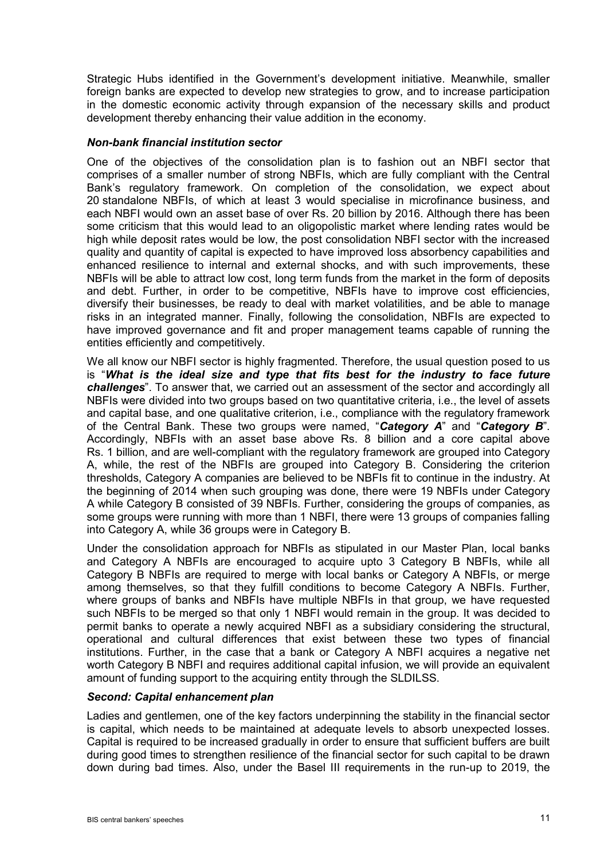Strategic Hubs identified in the Government's development initiative. Meanwhile, smaller foreign banks are expected to develop new strategies to grow, and to increase participation in the domestic economic activity through expansion of the necessary skills and product development thereby enhancing their value addition in the economy.

### *Non-bank financial institution sector*

One of the objectives of the consolidation plan is to fashion out an NBFI sector that comprises of a smaller number of strong NBFIs, which are fully compliant with the Central Bank's regulatory framework. On completion of the consolidation, we expect about 20 standalone NBFIs, of which at least 3 would specialise in microfinance business, and each NBFI would own an asset base of over Rs. 20 billion by 2016. Although there has been some criticism that this would lead to an oligopolistic market where lending rates would be high while deposit rates would be low, the post consolidation NBFI sector with the increased quality and quantity of capital is expected to have improved loss absorbency capabilities and enhanced resilience to internal and external shocks, and with such improvements, these NBFIs will be able to attract low cost, long term funds from the market in the form of deposits and debt. Further, in order to be competitive, NBFIs have to improve cost efficiencies, diversify their businesses, be ready to deal with market volatilities, and be able to manage risks in an integrated manner. Finally, following the consolidation, NBFIs are expected to have improved governance and fit and proper management teams capable of running the entities efficiently and competitively.

We all know our NBFI sector is highly fragmented. Therefore, the usual question posed to us is "*What is the ideal size and type that fits best for the industry to face future challenges*". To answer that, we carried out an assessment of the sector and accordingly all NBFIs were divided into two groups based on two quantitative criteria, i.e., the level of assets and capital base, and one qualitative criterion, i.e., compliance with the regulatory framework of the Central Bank. These two groups were named, "*Category A*" and "*Category B*". Accordingly, NBFIs with an asset base above Rs. 8 billion and a core capital above Rs. 1 billion, and are well-compliant with the regulatory framework are grouped into Category A, while, the rest of the NBFIs are grouped into Category B. Considering the criterion thresholds, Category A companies are believed to be NBFIs fit to continue in the industry. At the beginning of 2014 when such grouping was done, there were 19 NBFIs under Category A while Category B consisted of 39 NBFIs. Further, considering the groups of companies, as some groups were running with more than 1 NBFI, there were 13 groups of companies falling into Category A, while 36 groups were in Category B.

Under the consolidation approach for NBFIs as stipulated in our Master Plan, local banks and Category A NBFIs are encouraged to acquire upto 3 Category B NBFIs, while all Category B NBFIs are required to merge with local banks or Category A NBFIs, or merge among themselves, so that they fulfill conditions to become Category A NBFIs. Further, where groups of banks and NBFIs have multiple NBFIs in that group, we have requested such NBFIs to be merged so that only 1 NBFI would remain in the group. It was decided to permit banks to operate a newly acquired NBFI as a subsidiary considering the structural, operational and cultural differences that exist between these two types of financial institutions. Further, in the case that a bank or Category A NBFI acquires a negative net worth Category B NBFI and requires additional capital infusion, we will provide an equivalent amount of funding support to the acquiring entity through the SLDILSS.

# *Second: Capital enhancement plan*

Ladies and gentlemen, one of the key factors underpinning the stability in the financial sector is capital, which needs to be maintained at adequate levels to absorb unexpected losses. Capital is required to be increased gradually in order to ensure that sufficient buffers are built during good times to strengthen resilience of the financial sector for such capital to be drawn down during bad times. Also, under the Basel III requirements in the run-up to 2019, the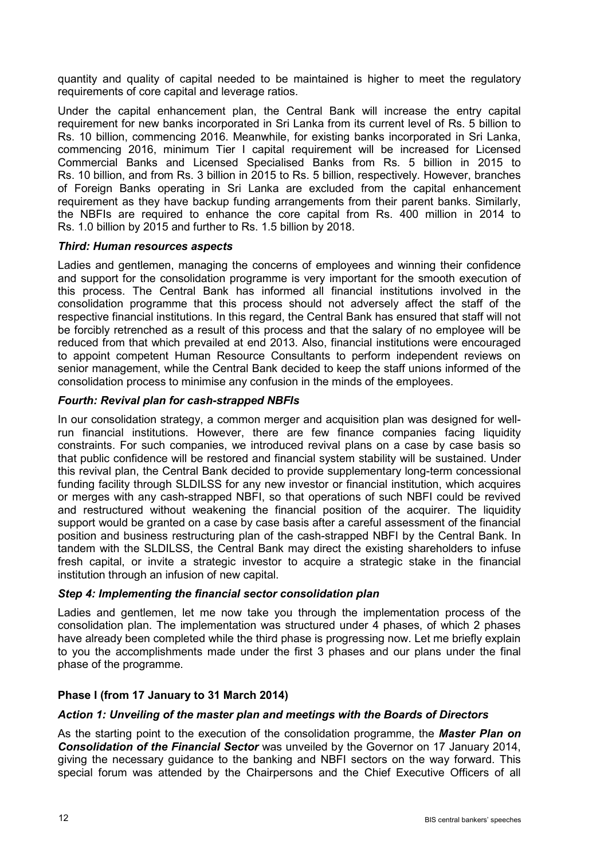quantity and quality of capital needed to be maintained is higher to meet the regulatory requirements of core capital and leverage ratios.

Under the capital enhancement plan, the Central Bank will increase the entry capital requirement for new banks incorporated in Sri Lanka from its current level of Rs. 5 billion to Rs. 10 billion, commencing 2016. Meanwhile, for existing banks incorporated in Sri Lanka, commencing 2016, minimum Tier I capital requirement will be increased for Licensed Commercial Banks and Licensed Specialised Banks from Rs. 5 billion in 2015 to Rs. 10 billion, and from Rs. 3 billion in 2015 to Rs. 5 billion, respectively. However, branches of Foreign Banks operating in Sri Lanka are excluded from the capital enhancement requirement as they have backup funding arrangements from their parent banks. Similarly, the NBFIs are required to enhance the core capital from Rs. 400 million in 2014 to Rs. 1.0 billion by 2015 and further to Rs. 1.5 billion by 2018.

# *Third: Human resources aspects*

Ladies and gentlemen, managing the concerns of employees and winning their confidence and support for the consolidation programme is very important for the smooth execution of this process. The Central Bank has informed all financial institutions involved in the consolidation programme that this process should not adversely affect the staff of the respective financial institutions. In this regard, the Central Bank has ensured that staff will not be forcibly retrenched as a result of this process and that the salary of no employee will be reduced from that which prevailed at end 2013. Also, financial institutions were encouraged to appoint competent Human Resource Consultants to perform independent reviews on senior management, while the Central Bank decided to keep the staff unions informed of the consolidation process to minimise any confusion in the minds of the employees.

## *Fourth: Revival plan for cash-strapped NBFIs*

In our consolidation strategy, a common merger and acquisition plan was designed for wellrun financial institutions. However, there are few finance companies facing liquidity constraints. For such companies, we introduced revival plans on a case by case basis so that public confidence will be restored and financial system stability will be sustained. Under this revival plan, the Central Bank decided to provide supplementary long-term concessional funding facility through SLDILSS for any new investor or financial institution, which acquires or merges with any cash-strapped NBFI, so that operations of such NBFI could be revived and restructured without weakening the financial position of the acquirer. The liquidity support would be granted on a case by case basis after a careful assessment of the financial position and business restructuring plan of the cash-strapped NBFI by the Central Bank. In tandem with the SLDILSS, the Central Bank may direct the existing shareholders to infuse fresh capital, or invite a strategic investor to acquire a strategic stake in the financial institution through an infusion of new capital.

# *Step 4: Implementing the financial sector consolidation plan*

Ladies and gentlemen, let me now take you through the implementation process of the consolidation plan. The implementation was structured under 4 phases, of which 2 phases have already been completed while the third phase is progressing now. Let me briefly explain to you the accomplishments made under the first 3 phases and our plans under the final phase of the programme.

# **Phase I (from 17 January to 31 March 2014)**

#### *Action 1: Unveiling of the master plan and meetings with the Boards of Directors*

As the starting point to the execution of the consolidation programme, the *Master Plan on Consolidation of the Financial Sector* was unveiled by the Governor on 17 January 2014, giving the necessary guidance to the banking and NBFI sectors on the way forward. This special forum was attended by the Chairpersons and the Chief Executive Officers of all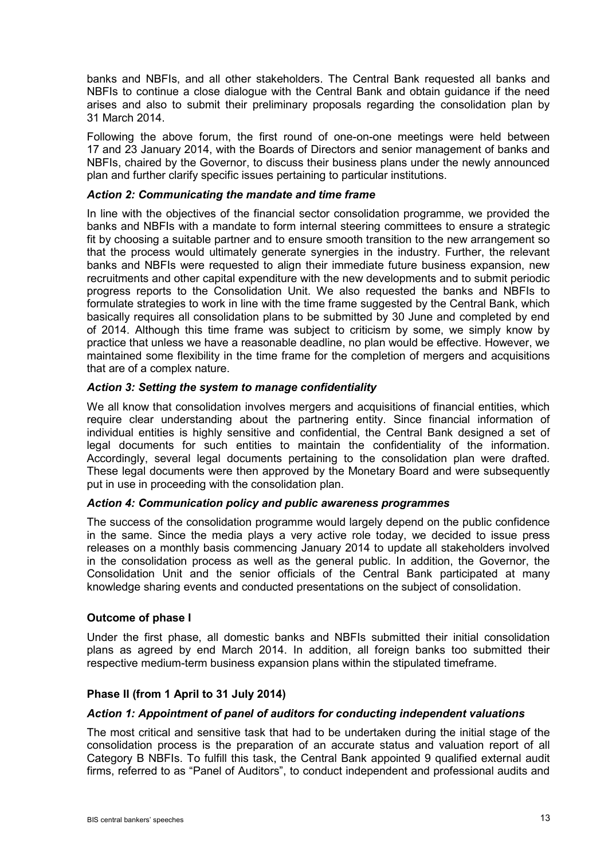banks and NBFIs, and all other stakeholders. The Central Bank requested all banks and NBFIs to continue a close dialogue with the Central Bank and obtain guidance if the need arises and also to submit their preliminary proposals regarding the consolidation plan by 31 March 2014.

Following the above forum, the first round of one-on-one meetings were held between 17 and 23 January 2014, with the Boards of Directors and senior management of banks and NBFIs, chaired by the Governor, to discuss their business plans under the newly announced plan and further clarify specific issues pertaining to particular institutions.

## *Action 2: Communicating the mandate and time frame*

In line with the objectives of the financial sector consolidation programme, we provided the banks and NBFIs with a mandate to form internal steering committees to ensure a strategic fit by choosing a suitable partner and to ensure smooth transition to the new arrangement so that the process would ultimately generate synergies in the industry. Further, the relevant banks and NBFIs were requested to align their immediate future business expansion, new recruitments and other capital expenditure with the new developments and to submit periodic progress reports to the Consolidation Unit. We also requested the banks and NBFIs to formulate strategies to work in line with the time frame suggested by the Central Bank, which basically requires all consolidation plans to be submitted by 30 June and completed by end of 2014. Although this time frame was subject to criticism by some, we simply know by practice that unless we have a reasonable deadline, no plan would be effective. However, we maintained some flexibility in the time frame for the completion of mergers and acquisitions that are of a complex nature.

## *Action 3: Setting the system to manage confidentiality*

We all know that consolidation involves mergers and acquisitions of financial entities, which require clear understanding about the partnering entity. Since financial information of individual entities is highly sensitive and confidential, the Central Bank designed a set of legal documents for such entities to maintain the confidentiality of the information. Accordingly, several legal documents pertaining to the consolidation plan were drafted. These legal documents were then approved by the Monetary Board and were subsequently put in use in proceeding with the consolidation plan.

### *Action 4: Communication policy and public awareness programmes*

The success of the consolidation programme would largely depend on the public confidence in the same. Since the media plays a very active role today, we decided to issue press releases on a monthly basis commencing January 2014 to update all stakeholders involved in the consolidation process as well as the general public. In addition, the Governor, the Consolidation Unit and the senior officials of the Central Bank participated at many knowledge sharing events and conducted presentations on the subject of consolidation.

# **Outcome of phase I**

Under the first phase, all domestic banks and NBFIs submitted their initial consolidation plans as agreed by end March 2014. In addition, all foreign banks too submitted their respective medium-term business expansion plans within the stipulated timeframe.

# **Phase II (from 1 April to 31 July 2014)**

#### *Action 1: Appointment of panel of auditors for conducting independent valuations*

The most critical and sensitive task that had to be undertaken during the initial stage of the consolidation process is the preparation of an accurate status and valuation report of all Category B NBFIs. To fulfill this task, the Central Bank appointed 9 qualified external audit firms, referred to as "Panel of Auditors", to conduct independent and professional audits and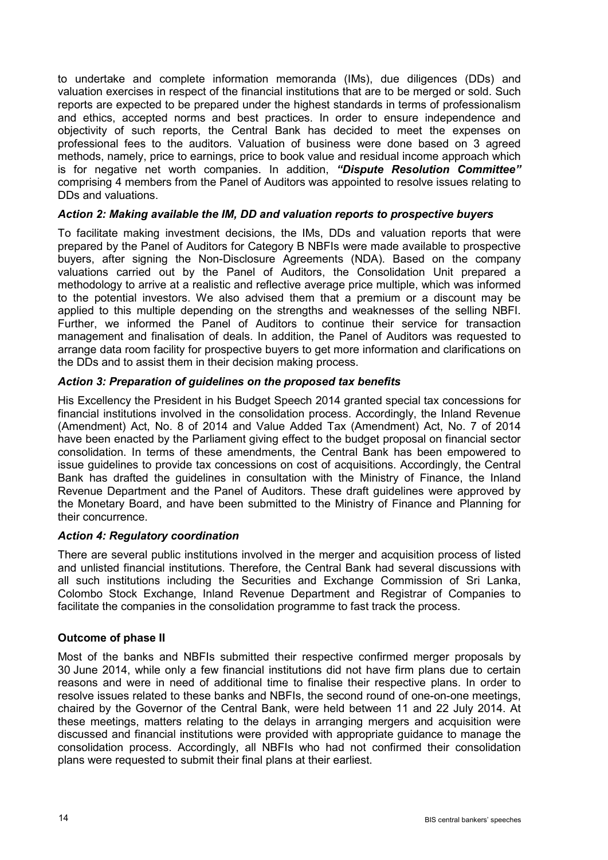to undertake and complete information memoranda (IMs), due diligences (DDs) and valuation exercises in respect of the financial institutions that are to be merged or sold. Such reports are expected to be prepared under the highest standards in terms of professionalism and ethics, accepted norms and best practices. In order to ensure independence and objectivity of such reports, the Central Bank has decided to meet the expenses on professional fees to the auditors. Valuation of business were done based on 3 agreed methods, namely, price to earnings, price to book value and residual income approach which is for negative net worth companies. In addition, *"Dispute Resolution Committee"*  comprising 4 members from the Panel of Auditors was appointed to resolve issues relating to DDs and valuations.

# *Action 2: Making available the IM, DD and valuation reports to prospective buyers*

To facilitate making investment decisions, the IMs, DDs and valuation reports that were prepared by the Panel of Auditors for Category B NBFIs were made available to prospective buyers, after signing the Non-Disclosure Agreements (NDA). Based on the company valuations carried out by the Panel of Auditors, the Consolidation Unit prepared a methodology to arrive at a realistic and reflective average price multiple, which was informed to the potential investors. We also advised them that a premium or a discount may be applied to this multiple depending on the strengths and weaknesses of the selling NBFI. Further, we informed the Panel of Auditors to continue their service for transaction management and finalisation of deals. In addition, the Panel of Auditors was requested to arrange data room facility for prospective buyers to get more information and clarifications on the DDs and to assist them in their decision making process.

## *Action 3: Preparation of guidelines on the proposed tax benefits*

His Excellency the President in his Budget Speech 2014 granted special tax concessions for financial institutions involved in the consolidation process. Accordingly, the Inland Revenue (Amendment) Act, No. 8 of 2014 and Value Added Tax (Amendment) Act, No. 7 of 2014 have been enacted by the Parliament giving effect to the budget proposal on financial sector consolidation. In terms of these amendments, the Central Bank has been empowered to issue guidelines to provide tax concessions on cost of acquisitions. Accordingly, the Central Bank has drafted the guidelines in consultation with the Ministry of Finance, the Inland Revenue Department and the Panel of Auditors. These draft guidelines were approved by the Monetary Board, and have been submitted to the Ministry of Finance and Planning for their concurrence.

#### *Action 4: Regulatory coordination*

There are several public institutions involved in the merger and acquisition process of listed and unlisted financial institutions. Therefore, the Central Bank had several discussions with all such institutions including the Securities and Exchange Commission of Sri Lanka, Colombo Stock Exchange, Inland Revenue Department and Registrar of Companies to facilitate the companies in the consolidation programme to fast track the process.

#### **Outcome of phase II**

Most of the banks and NBFIs submitted their respective confirmed merger proposals by 30 June 2014, while only a few financial institutions did not have firm plans due to certain reasons and were in need of additional time to finalise their respective plans. In order to resolve issues related to these banks and NBFIs, the second round of one-on-one meetings, chaired by the Governor of the Central Bank, were held between 11 and 22 July 2014. At these meetings, matters relating to the delays in arranging mergers and acquisition were discussed and financial institutions were provided with appropriate guidance to manage the consolidation process. Accordingly, all NBFIs who had not confirmed their consolidation plans were requested to submit their final plans at their earliest.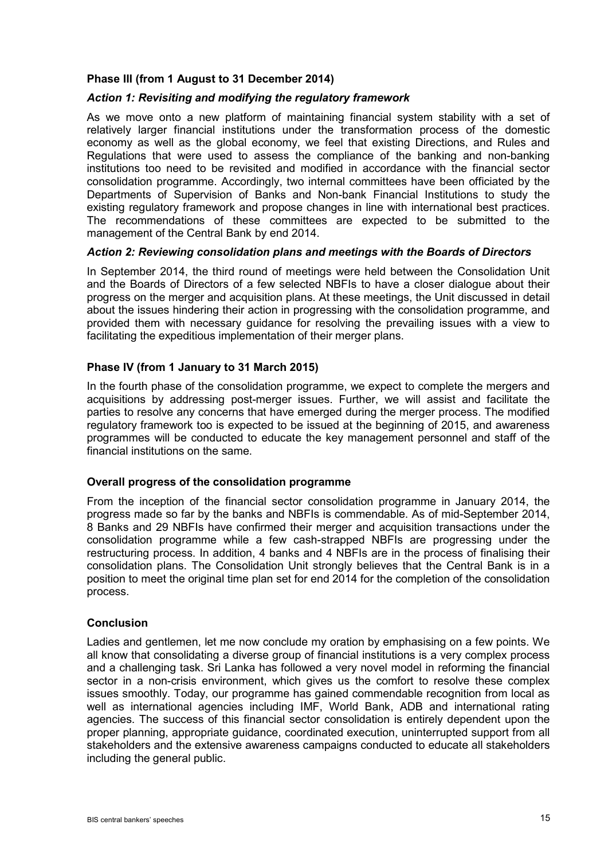# **Phase III (from 1 August to 31 December 2014)**

#### *Action 1: Revisiting and modifying the regulatory framework*

As we move onto a new platform of maintaining financial system stability with a set of relatively larger financial institutions under the transformation process of the domestic economy as well as the global economy, we feel that existing Directions, and Rules and Regulations that were used to assess the compliance of the banking and non-banking institutions too need to be revisited and modified in accordance with the financial sector consolidation programme. Accordingly, two internal committees have been officiated by the Departments of Supervision of Banks and Non-bank Financial Institutions to study the existing regulatory framework and propose changes in line with international best practices. The recommendations of these committees are expected to be submitted to the management of the Central Bank by end 2014.

#### *Action 2: Reviewing consolidation plans and meetings with the Boards of Directors*

In September 2014, the third round of meetings were held between the Consolidation Unit and the Boards of Directors of a few selected NBFIs to have a closer dialogue about their progress on the merger and acquisition plans. At these meetings, the Unit discussed in detail about the issues hindering their action in progressing with the consolidation programme, and provided them with necessary guidance for resolving the prevailing issues with a view to facilitating the expeditious implementation of their merger plans.

## **Phase IV (from 1 January to 31 March 2015)**

In the fourth phase of the consolidation programme, we expect to complete the mergers and acquisitions by addressing post-merger issues. Further, we will assist and facilitate the parties to resolve any concerns that have emerged during the merger process. The modified regulatory framework too is expected to be issued at the beginning of 2015, and awareness programmes will be conducted to educate the key management personnel and staff of the financial institutions on the same.

#### **Overall progress of the consolidation programme**

From the inception of the financial sector consolidation programme in January 2014, the progress made so far by the banks and NBFIs is commendable. As of mid-September 2014, 8 Banks and 29 NBFIs have confirmed their merger and acquisition transactions under the consolidation programme while a few cash-strapped NBFIs are progressing under the restructuring process. In addition, 4 banks and 4 NBFIs are in the process of finalising their consolidation plans. The Consolidation Unit strongly believes that the Central Bank is in a position to meet the original time plan set for end 2014 for the completion of the consolidation process.

#### **Conclusion**

Ladies and gentlemen, let me now conclude my oration by emphasising on a few points. We all know that consolidating a diverse group of financial institutions is a very complex process and a challenging task. Sri Lanka has followed a very novel model in reforming the financial sector in a non-crisis environment, which gives us the comfort to resolve these complex issues smoothly. Today, our programme has gained commendable recognition from local as well as international agencies including IMF, World Bank, ADB and international rating agencies. The success of this financial sector consolidation is entirely dependent upon the proper planning, appropriate guidance, coordinated execution, uninterrupted support from all stakeholders and the extensive awareness campaigns conducted to educate all stakeholders including the general public.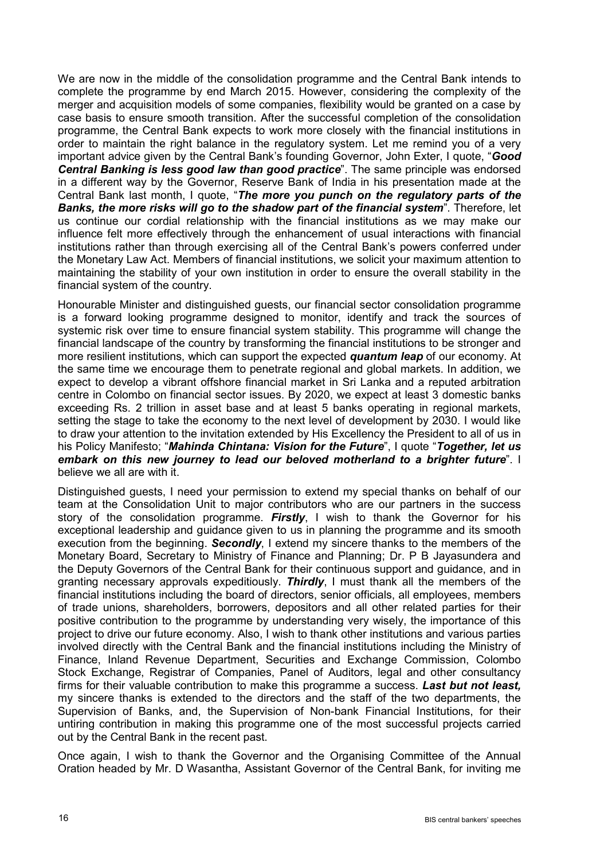We are now in the middle of the consolidation programme and the Central Bank intends to complete the programme by end March 2015. However, considering the complexity of the merger and acquisition models of some companies, flexibility would be granted on a case by case basis to ensure smooth transition. After the successful completion of the consolidation programme, the Central Bank expects to work more closely with the financial institutions in order to maintain the right balance in the regulatory system. Let me remind you of a very important advice given by the Central Bank's founding Governor, John Exter, I quote, "*Good Central Banking is less good law than good practice*". The same principle was endorsed in a different way by the Governor, Reserve Bank of India in his presentation made at the Central Bank last month, I quote, "*The more you punch on the regulatory parts of the Banks, the more risks will go to the shadow part of the financial system*". Therefore, let us continue our cordial relationship with the financial institutions as we may make our influence felt more effectively through the enhancement of usual interactions with financial institutions rather than through exercising all of the Central Bank's powers conferred under the Monetary Law Act. Members of financial institutions, we solicit your maximum attention to maintaining the stability of your own institution in order to ensure the overall stability in the financial system of the country.

Honourable Minister and distinguished guests, our financial sector consolidation programme is a forward looking programme designed to monitor, identify and track the sources of systemic risk over time to ensure financial system stability. This programme will change the financial landscape of the country by transforming the financial institutions to be stronger and more resilient institutions, which can support the expected *quantum leap* of our economy. At the same time we encourage them to penetrate regional and global markets. In addition, we expect to develop a vibrant offshore financial market in Sri Lanka and a reputed arbitration centre in Colombo on financial sector issues. By 2020, we expect at least 3 domestic banks exceeding Rs. 2 trillion in asset base and at least 5 banks operating in regional markets, setting the stage to take the economy to the next level of development by 2030. I would like to draw your attention to the invitation extended by His Excellency the President to all of us in his Policy Manifesto; "*Mahinda Chintana: Vision for the Future*", I quote "*Together, let us embark on this new journey to lead our beloved motherland to a brighter future*". I believe we all are with it.

Distinguished guests, I need your permission to extend my special thanks on behalf of our team at the Consolidation Unit to major contributors who are our partners in the success story of the consolidation programme. *Firstly*, I wish to thank the Governor for his exceptional leadership and guidance given to us in planning the programme and its smooth execution from the beginning. *Secondly*, I extend my sincere thanks to the members of the Monetary Board, Secretary to Ministry of Finance and Planning; Dr. P B Jayasundera and the Deputy Governors of the Central Bank for their continuous support and guidance, and in granting necessary approvals expeditiously. *Thirdly*, I must thank all the members of the financial institutions including the board of directors, senior officials, all employees, members of trade unions, shareholders, borrowers, depositors and all other related parties for their positive contribution to the programme by understanding very wisely, the importance of this project to drive our future economy. Also, I wish to thank other institutions and various parties involved directly with the Central Bank and the financial institutions including the Ministry of Finance, Inland Revenue Department, Securities and Exchange Commission, Colombo Stock Exchange, Registrar of Companies, Panel of Auditors, legal and other consultancy firms for their valuable contribution to make this programme a success. *Last but not least,*  my sincere thanks is extended to the directors and the staff of the two departments, the Supervision of Banks, and, the Supervision of Non-bank Financial Institutions, for their untiring contribution in making this programme one of the most successful projects carried out by the Central Bank in the recent past.

Once again, I wish to thank the Governor and the Organising Committee of the Annual Oration headed by Mr. D Wasantha, Assistant Governor of the Central Bank, for inviting me